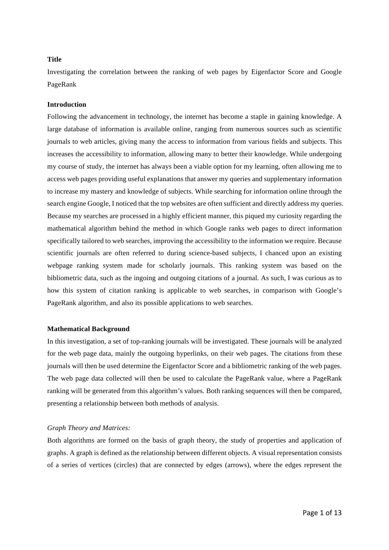# **Title**

Investigating the correlation between the ranking of web pages by Eigenfactor Score and Google PageRank

## **Introduction**

Following the advancement in technology, the internet has become a staple in gaining knowledge. A large database of information is available online, ranging from numerous sources such as scientific journals to web articles, giving many the access to information from various fields and subjects. This increases the accessibility to information, allowing many to better their knowledge. While undergoing my course of study, the internet has always been a viable option for my learning, often allowing me to access web pages providing useful explanations that answer my queries and supplementary information to increase my mastery and knowledge of subjects. While searching for information online through the search engine Google, I noticed that the top websites are often sufficient and directly address my queries. Because my searches are processed in a highly efficient manner, this piqued my curiosity regarding the mathematical algorithm behind the method in which Google ranks web pages to direct information specifically tailored to web searches, improving the accessibility to the information we require. Because scientific journals are often referred to during science-based subjects, I chanced upon an existing webpage ranking system made for scholarly journals. This ranking system was based on the bibliometric data, such as the ingoing and outgoing citations of a journal. As such, I was curious as to how this system of citation ranking is applicable to web searches, in comparison with Google's PageRank algorithm, and also its possible applications to web searches.

## **Mathematical Background**

In this investigation, a set of top-ranking journals will be investigated. These journals will be analyzed for the web page data, mainly the outgoing hyperlinks, on their web pages. The citations from these journals will then be used determine the Eigenfactor Score and a bibliometric ranking of the web pages. The web page data collected will then be used to calculate the PageRank value, where a PageRank ranking will be generated from this algorithm's values. Both ranking sequences will then be compared, presenting a relationship between both methods of analysis.

#### *Graph Theory and Matrices:*

Both algorithms are formed on the basis of graph theory, the study of properties and application of graphs. A graph is defined as the relationship between different objects. A visual representation consists of a series of vertices (circles) that are connected by edges (arrows), where the edges represent the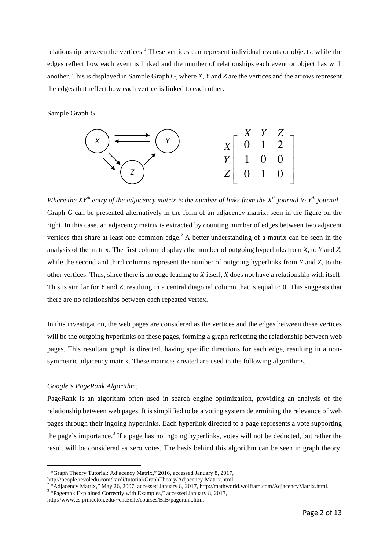relationship between the vertices.<sup>1</sup> These vertices can represent individual events or objects, while the edges reflect how each event is linked and the number of relationships each event or object has with another. This is displayed in Sample Graph G, where *X*, *Y* and *Z* are the vertices and the arrows represent the edges that reflect how each vertice is linked to each other.

Sample Graph *G*



*Where the XY<sup>th</sup> entry of the adjacency matrix is the number of links from the X<sup>th</sup> journal to Y<sup>th</sup> journal* Graph *G* can be presented alternatively in the form of an adjacency matrix, seen in the figure on the right. In this case, an adjacency matrix is extracted by counting number of edges between two adjacent vertices that share at least one common edge.<sup>2</sup> A better understanding of a matrix can be seen in the analysis of the matrix. The first column displays the number of outgoing hyperlinks from *X*, to *Y* and *Z*, while the second and third columns represent the number of outgoing hyperlinks from *Y* and *Z*, to the other vertices. Thus, since there is no edge leading to *X* itself, *X* does not have a relationship with itself. This is similar for *Y* and *Z*, resulting in a central diagonal column that is equal to 0. This suggests that there are no relationships between each repeated vertex.

In this investigation, the web pages are considered as the vertices and the edges between these vertices will be the outgoing hyperlinks on these pages, forming a graph reflecting the relationship between web pages. This resultant graph is directed, having specific directions for each edge, resulting in a nonsymmetric adjacency matrix. These matrices created are used in the following algorithms.

## *Google's PageRank Algorithm:*

PageRank is an algorithm often used in search engine optimization, providing an analysis of the relationship between web pages. It is simplified to be a voting system determining the relevance of web pages through their ingoing hyperlinks. Each hyperlink directed to a page represents a vote supporting the page's importance.<sup>3</sup> If a page has no ingoing hyperlinks, votes will not be deducted, but rather the result will be considered as zero votes. The basis behind this algorithm can be seen in graph theory,

<sup>&</sup>lt;sup>1</sup> "Graph Theory Tutorial: Adjacency Matrix," 2016, accessed January 8, 2017,

http://people.revoledu.com/kardi/tutorial/GraphTheory/Adjacency-Matrix.html. 2

<sup>&</sup>lt;sup>2</sup> "Adjacency Matrix," May 26, 2007, accessed January 8, 2017, http://mathworld.wolfram.com/AdjacencyMatrix.html.

<sup>&</sup>lt;sup>3</sup> "Pagerank Explained Correctly with Examples," accessed January 8, 2017,

http://www.cs.princeton.edu/~chazelle/courses/BIB/pagerank.htm.